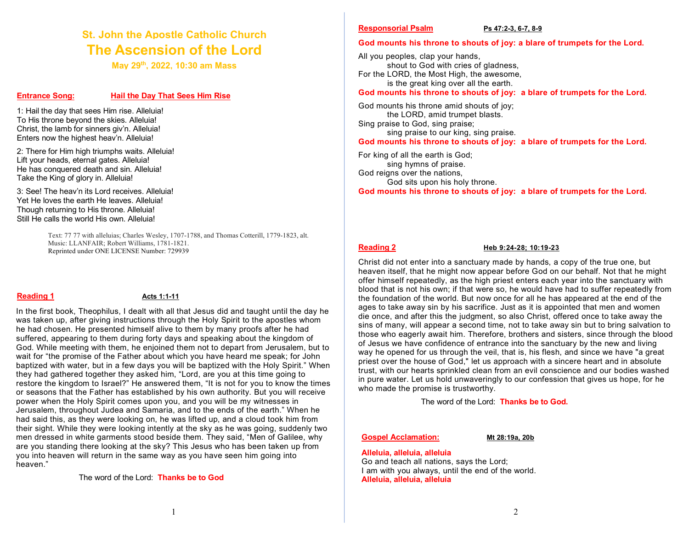# **The Ascension of the Lord St. John the Apostle Catholic Church**

**May 29th, 2022, 10:30 am Mass**

# **Entrance Song: Hail the Day That Sees Him Rise**

1: Hail the day that sees Him rise. Alleluia! To His throne beyond the skies. Alleluia! Christ, the lamb for sinners giv'n. Alleluia! Enters now the highest heav'n. Alleluia!

2: There for Him high triumphs waits. Alleluia! Lift your heads, eternal gates. Alleluia! He has conquered death and sin. Alleluia! Take the King of glory in. Alleluia!

3: See! The heav'n its Lord receives. Alleluia! Yet He loves the earth He leaves. Alleluia! Though returning to His throne. Alleluia! Still He calls the world His own. Alleluia!

> Text: 77 77 with alleluias; Charles Wesley, 1707-1788, and Thomas Cotterill, 1779-1823, alt. Music: LLANFAIR; Robert Williams, 1781-1821. Reprinted under ONE LICENSE Number: 729939

### **Reading 1 Acts** 1:1-11

In the first book, Theophilus, I dealt with all that Jesus did and taught until the day he was taken up, after giving instructions through the Holy Spirit to the apostles whom he had chosen. He presented himself alive to them by many proofs after he had suffered, appearing to them during forty days and speaking about the kingdom of God. While meeting with them, he enjoined them not to depart from Jerusalem, but to wait for "the promise of the Father about which you have heard me speak; for John baptized with water, but in a few days you will be baptized with the Holy Spirit." When they had gathered together they asked him, "Lord, are you at this time going to restore the kingdom to Israel?" He answered them, "It is not for you to know the times or seasons that the Father has established by his own authority. But you will receive power when the Holy Spirit comes upon you, and you will be my witnesses in Jerusalem, throughout Judea and Samaria, and to the ends of the earth." When he had said this, as they were looking on, he was lifted up, and a cloud took him from their sight. While they were looking intently at the sky as he was going, suddenly two men dressed in white garments stood beside them. They said, "Men of Galilee, why are you standing there looking at the sky? This Jesus who has been taken up from you into heaven will return in the same way as you have seen him going into heaven."

The word of the Lord: **Thanks be to God**

### **Responsorial Psalm Ps 47:2-3, 6-7, 8-9**

## **God mounts his throne to shouts of joy: a blare of trumpets for the Lord.**

All you peoples, clap your hands, shout to God with cries of gladness, For the LORD, the Most High, the awesome, is the great king over all the earth.

**God mounts his throne to shouts of joy: a blare of trumpets for the Lord.**

God mounts his throne amid shouts of joy; the LORD, amid trumpet blasts. Sing praise to God, sing praise; sing praise to our king, sing praise.

**God mounts his throne to shouts of joy: a blare of trumpets for the Lord.**

For king of all the earth is God; sing hymns of praise. God reigns over the nations, God sits upon his holy throne. **God mounts his throne to shouts of joy: a blare of trumpets for the Lord.**

### **Reading 2 Heb 9:24-28; 10:19-23**

Christ did not enter into a sanctuary made by hands, a copy of the true one, but heaven itself, that he might now appear before God on our behalf. Not that he might offer himself repeatedly, as the high priest enters each year into the sanctuary with blood that is not his own; if that were so, he would have had to suffer repeatedly from the foundation of the world. But now once for all he has appeared at the end of the ages to take away sin by his sacrifice. Just as it is appointed that men and women die once, and after this the judgment, so also Christ, offered once to take away the sins of many, will appear a second time, not to take away sin but to bring salvation to those who eagerly await him. Therefore, brothers and sisters, since through the blood of Jesus we have confidence of entrance into the sanctuary by the new and living way he opened for us through the veil, that is, his flesh, and since we have "a great priest over the house of God," let us approach with a sincere heart and in absolute trust, with our hearts sprinkled clean from an evil conscience and our bodies washed in pure water. Let us hold unwaveringly to our confession that gives us hope, for he who made the promise is trustworthy.

The word of the Lord: **Thanks be to God.**

### **Gospel Acclamation: Mt 28:19a, 20b**

**Alleluia, alleluia, alleluia**

Go and teach all nations, says the Lord; I am with you always, until the end of the world. **Alleluia, alleluia, alleluia**